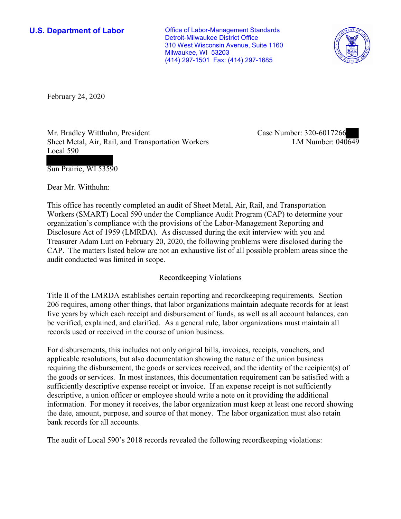**U.S. Department of Labor Conservative Conservative Conservative Conservative U.S.** Department of Labor Detroit-Milwaukee District Office 310 West Wisconsin Avenue, Suite 1160 Milwaukee, WI 53203 (414) 297-1501 Fax: (414) 297-1685



February 24, 2020

Mr. Bradley Witthuhn, President Sheet Metal, Air, Rail, and Transportation Workers Local 590

Case Number: 320-6017266<br>
LM Number: 040649

Sun Prairie, WI 53590

Dear Mr. Witthuhn:

 This office has recently completed an audit of Sheet Metal, Air, Rail, and Transportation Workers (SMART) Local 590 under the Compliance Audit Program (CAP) to determine your organization's compliance with the provisions of the Labor-Management Reporting and Disclosure Act of 1959 (LMRDA). As discussed during the exit interview with you and Treasurer Adam Lutt on February 20, 2020, the following problems were disclosed during the CAP. The matters listed below are not an exhaustive list of all possible problem areas since the audit conducted was limited in scope.

# Recordkeeping Violations

 Title II of the LMRDA establishes certain reporting and recordkeeping requirements. Section 206 requires, among other things, that labor organizations maintain adequate records for at least five years by which each receipt and disbursement of funds, as well as all account balances, can be verified, explained, and clarified. As a general rule, labor organizations must maintain all records used or received in the course of union business.

For disbursements, this includes not only original bills, invoices, receipts, vouchers, and applicable resolutions, but also documentation showing the nature of the union business requiring the disbursement, the goods or services received, and the identity of the recipient(s) of the goods or services. In most instances, this documentation requirement can be satisfied with a sufficiently descriptive expense receipt or invoice. If an expense receipt is not sufficiently descriptive, a union officer or employee should write a note on it providing the additional information. For money it receives, the labor organization must keep at least one record showing the date, amount, purpose, and source of that money. The labor organization must also retain bank records for all accounts.

The audit of Local 590's 2018 records revealed the following recordkeeping violations: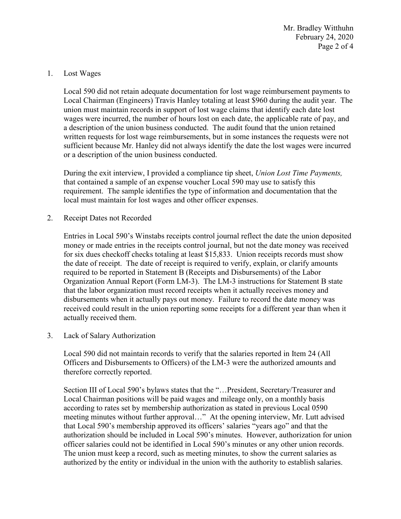February 24, 2020 Page 2 of 4 Mr. Bradley Witthuhn

#### 1. Lost Wages

 Local Chairman (Engineers) Travis Hanley totaling at least \$960 during the audit year. The Local 590 did not retain adequate documentation for lost wage reimbursement payments to union must maintain records in support of lost wage claims that identify each date lost wages were incurred, the number of hours lost on each date, the applicable rate of pay, and a description of the union business conducted. The audit found that the union retained written requests for lost wage reimbursements, but in some instances the requests were not sufficient because Mr. Hanley did not always identify the date the lost wages were incurred or a description of the union business conducted.

 that contained a sample of an expense voucher Local 590 may use to satisfy this During the exit interview, I provided a compliance tip sheet, *Union Lost Time Payments,*  requirement. The sample identifies the type of information and documentation that the local must maintain for lost wages and other officer expenses.

2. Receipt Dates not Recorded

 required to be reported in Statement B (Receipts and Disbursements) of the Labor Organization Annual Report (Form LM-3). The LM-3 instructions for Statement B state disbursements when it actually pays out money. Failure to record the date money was Entries in Local 590's Winstabs receipts control journal reflect the date the union deposited money or made entries in the receipts control journal, but not the date money was received for six dues checkoff checks totaling at least \$15,833. Union receipts records must show the date of receipt. The date of receipt is required to verify, explain, or clarify amounts that the labor organization must record receipts when it actually receives money and received could result in the union reporting some receipts for a different year than when it actually received them.

3. Lack of Salary Authorization

 Local 590 did not maintain records to verify that the salaries reported in Item 24 (All therefore correctly reported. Officers and Disbursements to Officers) of the LM-3 were the authorized amounts and

 Section III of Local 590's bylaws states that the "…President, Secretary/Treasurer and meeting minutes without further approval…" At the opening interview, Mr. Lutt advised that Local 590's membership approved its officers' salaries "years ago" and that the officer salaries could not be identified in Local 590's minutes or any other union records. Local Chairman positions will be paid wages and mileage only, on a monthly basis according to rates set by membership authorization as stated in previous Local 0590 authorization should be included in Local 590's minutes. However, authorization for union The union must keep a record, such as meeting minutes, to show the current salaries as authorized by the entity or individual in the union with the authority to establish salaries.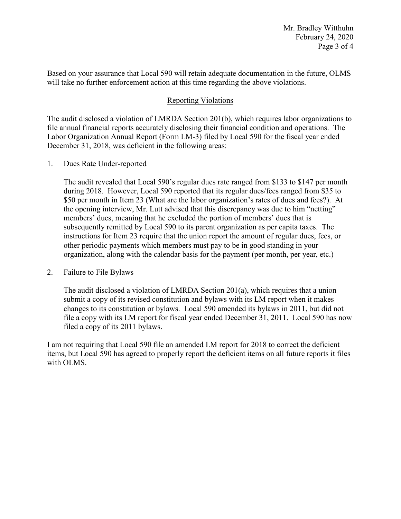Based on your assurance that Local 590 will retain adequate documentation in the future, OLMS will take no further enforcement action at this time regarding the above violations.

## Reporting Violations

 December 31, 2018, was deficient in the following areas: 1. Dues Rate Under-reported The audit disclosed a violation of LMRDA Section 201(b), which requires labor organizations to file annual financial reports accurately disclosing their financial condition and operations. The Labor Organization Annual Report (Form LM-3) filed by Local 590 for the fiscal year ended

 members' dues, meaning that he excluded the portion of members' dues that is subsequently remitted by Local 590 to its parent organization as per capita taxes. The instructions for Item 23 require that the union report the amount of regular dues, fees, or organization, along with the calendar basis for the payment (per month, per year, etc.) The audit revealed that Local 590's regular dues rate ranged from \$133 to \$147 per month during 2018. However, Local 590 reported that its regular dues/fees ranged from \$35 to \$50 per month in Item 23 (What are the labor organization's rates of dues and fees?). At the opening interview, Mr. Lutt advised that this discrepancy was due to him "netting" other periodic payments which members must pay to be in good standing in your

### 2. Failure to File Bylaws

 file a copy with its LM report for fiscal year ended December 31, 2011. Local 590 has now The audit disclosed a violation of LMRDA Section 201(a), which requires that a union submit a copy of its revised constitution and bylaws with its LM report when it makes changes to its constitution or bylaws. Local 590 amended its bylaws in 2011, but did not filed a copy of its 2011 bylaws.

 I am not requiring that Local 590 file an amended LM report for 2018 to correct the deficient items, but Local 590 has agreed to properly report the deficient items on all future reports it files with OLMS.